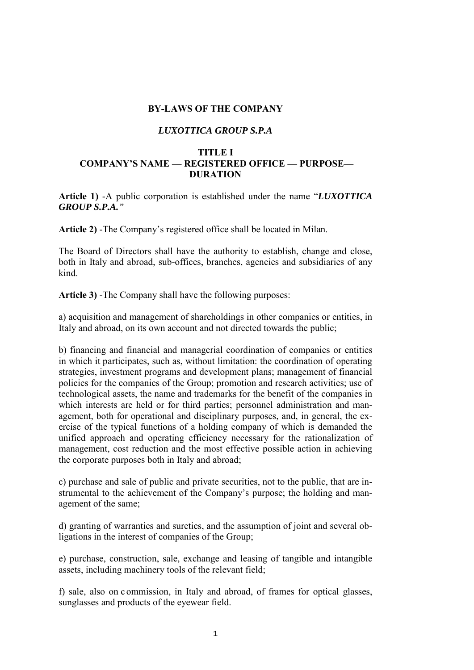#### **BY-LAWS OF THE COMPANY**

#### *LUXOTTICA GROUP S.P.A*

#### **TITLE I COMPANY'S NAME — REGISTERED OFFICE — PURPOSE— DURATION**

**Article 1)** -A public corporation is established under the name "*LUXOTTICA GROUP S.P.A."* 

**Article 2)** -The Company's registered office shall be located in Milan.

The Board of Directors shall have the authority to establish, change and close, both in Italy and abroad, sub-offices, branches, agencies and subsidiaries of any kind.

**Article 3)** -The Company shall have the following purposes:

a) acquisition and management of shareholdings in other companies or entities, in Italy and abroad, on its own account and not directed towards the public;

b) financing and financial and managerial coordination of companies or entities in which it participates, such as, without limitation: the coordination of operating strategies, investment programs and development plans; management of financial policies for the companies of the Group; promotion and research activities; use of technological assets, the name and trademarks for the benefit of the companies in which interests are held or for third parties; personnel administration and management, both for operational and disciplinary purposes, and, in general, the exercise of the typical functions of a holding company of which is demanded the unified approach and operating efficiency necessary for the rationalization of management, cost reduction and the most effective possible action in achieving the corporate purposes both in Italy and abroad;

c) purchase and sale of public and private securities, not to the public, that are instrumental to the achievement of the Company's purpose; the holding and management of the same;

d) granting of warranties and sureties, and the assumption of joint and several obligations in the interest of companies of the Group;

e) purchase, construction, sale, exchange and leasing of tangible and intangible assets, including machinery tools of the relevant field;

f) sale, also on c ommission, in Italy and abroad, of frames for optical glasses, sunglasses and products of the eyewear field.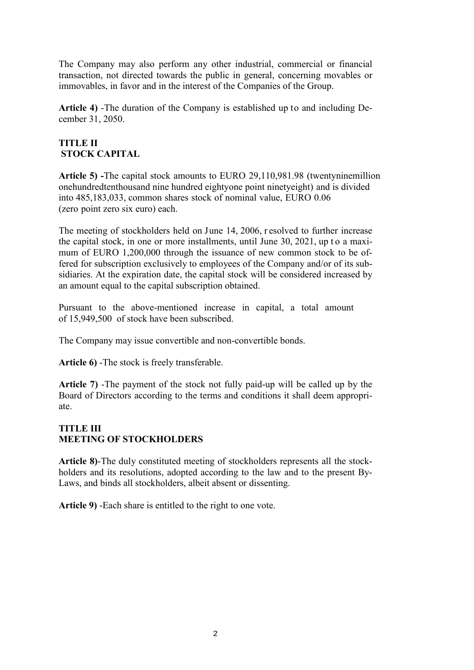The Company may also perform any other industrial, commercial or financial transaction, not directed towards the public in general, concerning movables or immovables, in favor and in the interest of the Companies of the Group.

**Article 4)** -The duration of the Company is established up to and including December 31, 2050.

# **TITLE II STOCK CAPITAL**

**Article 5) -**The capital stock amounts to EURO 29,110,981.98 (twentyninemillion onehundredtenthousand nine hundred eightyone point ninetyeight) and is divided into 485,183,033, common shares stock of nominal value, EURO 0.06 (zero point zero six euro) each.

The meeting of stockholders held on June 14, 2006, r esolved to further increase the capital stock, in one or more installments, until June 30, 2021, up t o a maximum of EURO 1,200,000 through the issuance of new common stock to be offered for subscription exclusively to employees of the Company and/or of its subsidiaries. At the expiration date, the capital stock will be considered increased by an amount equal to the capital subscription obtained.

Pursuant to the above-mentioned increase in capital, a total amount of 15,949,500 of stock have been subscribed.

The Company may issue convertible and non-convertible bonds.

**Article 6)** -The stock is freely transferable.

**Article 7)** -The payment of the stock not fully paid-up will be called up by the Board of Directors according to the terms and conditions it shall deem appropriate.

### **TITLE III MEETING OF STOCKHOLDERS**

**Article 8)**-The duly constituted meeting of stockholders represents all the stockholders and its resolutions, adopted according to the law and to the present By-Laws, and binds all stockholders, albeit absent or dissenting.

**Article 9)** -Each share is entitled to the right to one vote.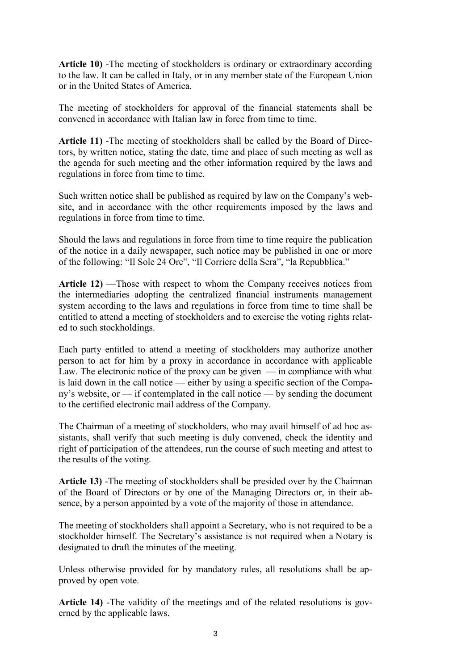**Article 10)** -The meeting of stockholders is ordinary or extraordinary according to the law. It can be called in Italy, or in any member state of the European Union or in the United States of America.

The meeting of stockholders for approval of the financial statements shall be convened in accordance with Italian law in force from time to time.

**Article 11)** -The meeting of stockholders shall be called by the Board of Directors, by written notice, stating the date, time and place of such meeting as well as the agenda for such meeting and the other information required by the laws and regulations in force from time to time.

Such written notice shall be published as required by law on the Company's website, and in accordance with the other requirements imposed by the laws and regulations in force from time to time.

Should the laws and regulations in force from time to time require the publication of the notice in a daily newspaper, such notice may be published in one or more of the following: "Il Sole 24 Ore", "Il Corriere della Sera", "la Repubblica."

**Article 12)** —Those with respect to whom the Company receives notices from the intermediaries adopting the centralized financial instruments management system according to the laws and regulations in force from time to time shall be entitled to attend a meeting of stockholders and to exercise the voting rights related to such stockholdings.

Each party entitled to attend a meeting of stockholders may authorize another person to act for him by a proxy in accordance in accordance with applicable Law. The electronic notice of the proxy can be given  $-$  in compliance with what is laid down in the call notice — either by using a specific section of the Company's website, or — if contemplated in the call notice — by sending the document to the certified electronic mail address of the Company.

The Chairman of a meeting of stockholders, who may avail himself of ad hoc assistants, shall verify that such meeting is duly convened, check the identity and right of participation of the attendees, run the course of such meeting and attest to the results of the voting.

**Article 13)** -The meeting of stockholders shall be presided over by the Chairman of the Board of Directors or by one of the Managing Directors or, in their absence, by a person appointed by a vote of the majority of those in attendance.

The meeting of stockholders shall appoint a Secretary, who is not required to be a stockholder himself. The Secretary's assistance is not required when a Notary is designated to draft the minutes of the meeting.

Unless otherwise provided for by mandatory rules, all resolutions shall be approved by open vote.

**Article 14)** -The validity of the meetings and of the related resolutions is governed by the applicable laws.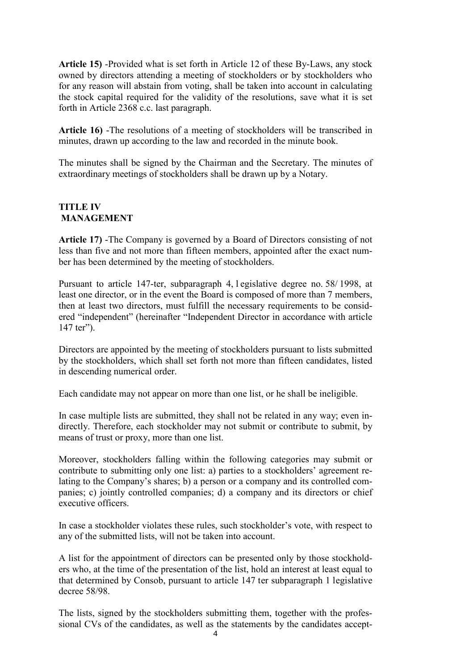**Article 15)** -Provided what is set forth in Article 12 of these By-Laws, any stock owned by directors attending a meeting of stockholders or by stockholders who for any reason will abstain from voting, shall be taken into account in calculating the stock capital required for the validity of the resolutions, save what it is set forth in Article 2368 c.c. last paragraph.

**Article 16)** -The resolutions of a meeting of stockholders will be transcribed in minutes, drawn up according to the law and recorded in the minute book.

The minutes shall be signed by the Chairman and the Secretary. The minutes of extraordinary meetings of stockholders shall be drawn up by a Notary.

### **TITLE IV MANAGEMENT**

**Article 17)** -The Company is governed by a Board of Directors consisting of not less than five and not more than fifteen members, appointed after the exact number has been determined by the meeting of stockholders.

Pursuant to article 147-ter, subparagraph 4, l egislative degree no. 58/ 1998, at least one director, or in the event the Board is composed of more than 7 members, then at least two directors, must fulfill the necessary requirements to be considered "independent" (hereinafter "Independent Director in accordance with article 147 ter").

Directors are appointed by the meeting of stockholders pursuant to lists submitted by the stockholders, which shall set forth not more than fifteen candidates, listed in descending numerical order.

Each candidate may not appear on more than one list, or he shall be ineligible.

In case multiple lists are submitted, they shall not be related in any way; even indirectly. Therefore, each stockholder may not submit or contribute to submit, by means of trust or proxy, more than one list.

Moreover, stockholders falling within the following categories may submit or contribute to submitting only one list: a) parties to a stockholders' agreement relating to the Company's shares; b) a person or a company and its controlled companies; c) jointly controlled companies; d) a company and its directors or chief executive officers.

In case a stockholder violates these rules, such stockholder's vote, with respect to any of the submitted lists, will not be taken into account.

A list for the appointment of directors can be presented only by those stockholders who, at the time of the presentation of the list, hold an interest at least equal to that determined by Consob, pursuant to article 147 ter subparagraph 1 legislative decree 58/98.

The lists, signed by the stockholders submitting them, together with the professional CVs of the candidates, as well as the statements by the candidates accept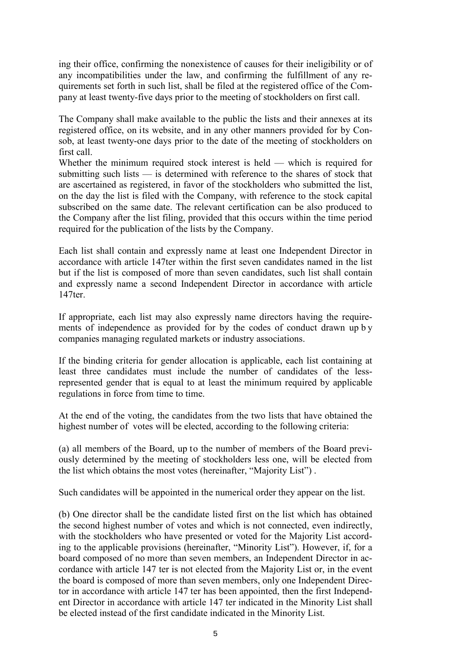ing their office, confirming the nonexistence of causes for their ineligibility or of any incompatibilities under the law, and confirming the fulfillment of any requirements set forth in such list, shall be filed at the registered office of the Company at least twenty-five days prior to the meeting of stockholders on first call.

The Company shall make available to the public the lists and their annexes at its registered office, on its website, and in any other manners provided for by Consob, at least twenty-one days prior to the date of the meeting of stockholders on first call.

Whether the minimum required stock interest is held — which is required for submitting such lists — is determined with reference to the shares of stock that are ascertained as registered, in favor of the stockholders who submitted the list, on the day the list is filed with the Company, with reference to the stock capital subscribed on the same date. The relevant certification can be also produced to the Company after the list filing, provided that this occurs within the time period required for the publication of the lists by the Company.

Each list shall contain and expressly name at least one Independent Director in accordance with article 147ter within the first seven candidates named in the list but if the list is composed of more than seven candidates, such list shall contain and expressly name a second Independent Director in accordance with article 147ter.

If appropriate, each list may also expressly name directors having the requirements of independence as provided for by the codes of conduct drawn up b y companies managing regulated markets or industry associations.

If the binding criteria for gender allocation is applicable, each list containing at least three candidates must include the number of candidates of the lessrepresented gender that is equal to at least the minimum required by applicable regulations in force from time to time.

At the end of the voting, the candidates from the two lists that have obtained the highest number of votes will be elected, according to the following criteria:

(a) all members of the Board, up to the number of members of the Board previously determined by the meeting of stockholders less one, will be elected from the list which obtains the most votes (hereinafter, "Majority List") .

Such candidates will be appointed in the numerical order they appear on the list.

(b) One director shall be the candidate listed first on the list which has obtained the second highest number of votes and which is not connected, even indirectly, with the stockholders who have presented or voted for the Majority List according to the applicable provisions (hereinafter, "Minority List"). However, if, for a board composed of no more than seven members, an Independent Director in accordance with article 147 ter is not elected from the Majority List or, in the event the board is composed of more than seven members, only one Independent Director in accordance with article 147 ter has been appointed, then the first Independent Director in accordance with article 147 ter indicated in the Minority List shall be elected instead of the first candidate indicated in the Minority List.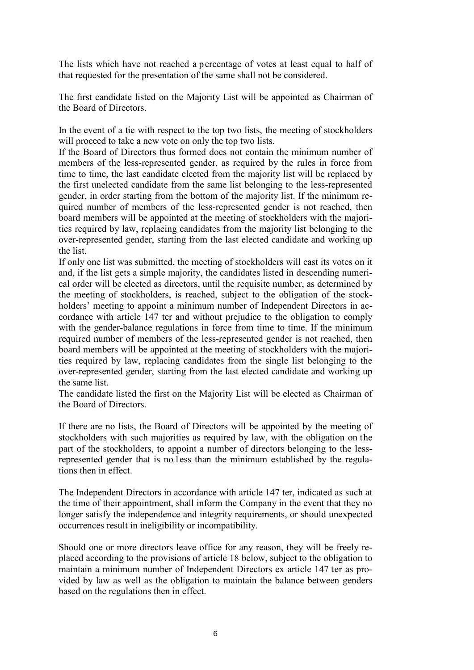The lists which have not reached a percentage of votes at least equal to half of that requested for the presentation of the same shall not be considered.

The first candidate listed on the Majority List will be appointed as Chairman of the Board of Directors.

In the event of a tie with respect to the top two lists, the meeting of stockholders will proceed to take a new vote on only the top two lists.

If the Board of Directors thus formed does not contain the minimum number of members of the less-represented gender, as required by the rules in force from time to time, the last candidate elected from the majority list will be replaced by the first unelected candidate from the same list belonging to the less-represented gender, in order starting from the bottom of the majority list. If the minimum required number of members of the less-represented gender is not reached, then board members will be appointed at the meeting of stockholders with the majorities required by law, replacing candidates from the majority list belonging to the over-represented gender, starting from the last elected candidate and working up the list.

If only one list was submitted, the meeting of stockholders will cast its votes on it and, if the list gets a simple majority, the candidates listed in descending numerical order will be elected as directors, until the requisite number, as determined by the meeting of stockholders, is reached, subject to the obligation of the stockholders' meeting to appoint a minimum number of Independent Directors in accordance with article 147 ter and without prejudice to the obligation to comply with the gender-balance regulations in force from time to time. If the minimum required number of members of the less-represented gender is not reached, then board members will be appointed at the meeting of stockholders with the majorities required by law, replacing candidates from the single list belonging to the over-represented gender, starting from the last elected candidate and working up the same list.

The candidate listed the first on the Majority List will be elected as Chairman of the Board of Directors.

If there are no lists, the Board of Directors will be appointed by the meeting of stockholders with such majorities as required by law, with the obligation on the part of the stockholders, to appoint a number of directors belonging to the lessrepresented gender that is no less than the minimum established by the regulations then in effect.

The Independent Directors in accordance with article 147 ter, indicated as such at the time of their appointment, shall inform the Company in the event that they no longer satisfy the independence and integrity requirements, or should unexpected occurrences result in ineligibility or incompatibility.

Should one or more directors leave office for any reason, they will be freely replaced according to the provisions of article 18 below, subject to the obligation to maintain a minimum number of Independent Directors ex article 147 ter as provided by law as well as the obligation to maintain the balance between genders based on the regulations then in effect.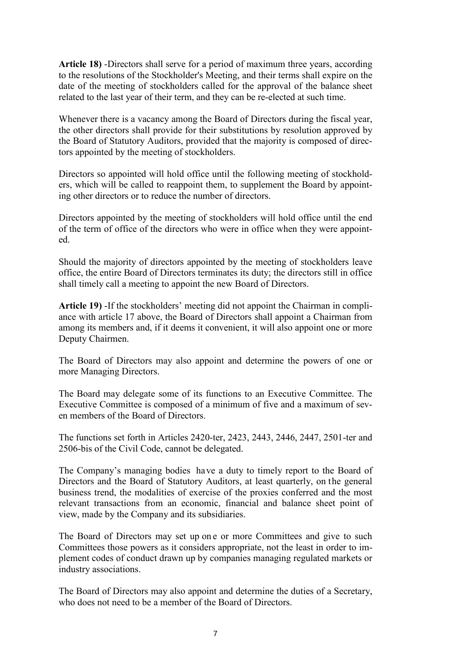**Article 18)** -Directors shall serve for a period of maximum three years, according to the resolutions of the Stockholder's Meeting, and their terms shall expire on the date of the meeting of stockholders called for the approval of the balance sheet related to the last year of their term, and they can be re-elected at such time.

Whenever there is a vacancy among the Board of Directors during the fiscal year, the other directors shall provide for their substitutions by resolution approved by the Board of Statutory Auditors, provided that the majority is composed of directors appointed by the meeting of stockholders.

Directors so appointed will hold office until the following meeting of stockholders, which will be called to reappoint them, to supplement the Board by appointing other directors or to reduce the number of directors.

Directors appointed by the meeting of stockholders will hold office until the end of the term of office of the directors who were in office when they were appointed.

Should the majority of directors appointed by the meeting of stockholders leave office, the entire Board of Directors terminates its duty; the directors still in office shall timely call a meeting to appoint the new Board of Directors.

**Article 19)** -If the stockholders' meeting did not appoint the Chairman in compliance with article 17 above, the Board of Directors shall appoint a Chairman from among its members and, if it deems it convenient, it will also appoint one or more Deputy Chairmen.

The Board of Directors may also appoint and determine the powers of one or more Managing Directors.

The Board may delegate some of its functions to an Executive Committee. The Executive Committee is composed of a minimum of five and a maximum of seven members of the Board of Directors.

The functions set forth in Articles 2420-ter, 2423, 2443, 2446, 2447, 2501-ter and 2506-bis of the Civil Code, cannot be delegated.

The Company's managing bodies have a duty to timely report to the Board of Directors and the Board of Statutory Auditors, at least quarterly, on the general business trend, the modalities of exercise of the proxies conferred and the most relevant transactions from an economic, financial and balance sheet point of view, made by the Company and its subsidiaries.

The Board of Directors may set up on e or more Committees and give to such Committees those powers as it considers appropriate, not the least in order to implement codes of conduct drawn up by companies managing regulated markets or industry associations.

The Board of Directors may also appoint and determine the duties of a Secretary, who does not need to be a member of the Board of Directors.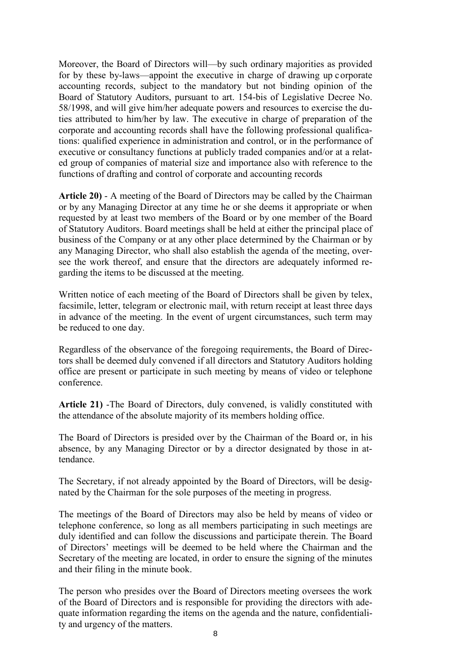Moreover, the Board of Directors will—by such ordinary majorities as provided for by these by-laws—appoint the executive in charge of drawing up corporate accounting records, subject to the mandatory but not binding opinion of the Board of Statutory Auditors, pursuant to art. 154-bis of Legislative Decree No. 58/1998, and will give him/her adequate powers and resources to exercise the duties attributed to him/her by law. The executive in charge of preparation of the corporate and accounting records shall have the following professional qualifications: qualified experience in administration and control, or in the performance of executive or consultancy functions at publicly traded companies and/or at a related group of companies of material size and importance also with reference to the functions of drafting and control of corporate and accounting records

**Article 20)** - A meeting of the Board of Directors may be called by the Chairman or by any Managing Director at any time he or she deems it appropriate or when requested by at least two members of the Board or by one member of the Board of Statutory Auditors. Board meetings shall be held at either the principal place of business of the Company or at any other place determined by the Chairman or by any Managing Director, who shall also establish the agenda of the meeting, oversee the work thereof, and ensure that the directors are adequately informed regarding the items to be discussed at the meeting.

Written notice of each meeting of the Board of Directors shall be given by telex, facsimile, letter, telegram or electronic mail, with return receipt at least three days in advance of the meeting. In the event of urgent circumstances, such term may be reduced to one day.

Regardless of the observance of the foregoing requirements, the Board of Directors shall be deemed duly convened if all directors and Statutory Auditors holding office are present or participate in such meeting by means of video or telephone conference.

**Article 21)** -The Board of Directors, duly convened, is validly constituted with the attendance of the absolute majority of its members holding office.

The Board of Directors is presided over by the Chairman of the Board or, in his absence, by any Managing Director or by a director designated by those in attendance.

The Secretary, if not already appointed by the Board of Directors, will be designated by the Chairman for the sole purposes of the meeting in progress.

The meetings of the Board of Directors may also be held by means of video or telephone conference, so long as all members participating in such meetings are duly identified and can follow the discussions and participate therein. The Board of Directors' meetings will be deemed to be held where the Chairman and the Secretary of the meeting are located, in order to ensure the signing of the minutes and their filing in the minute book.

The person who presides over the Board of Directors meeting oversees the work of the Board of Directors and is responsible for providing the directors with adequate information regarding the items on the agenda and the nature, confidentiality and urgency of the matters.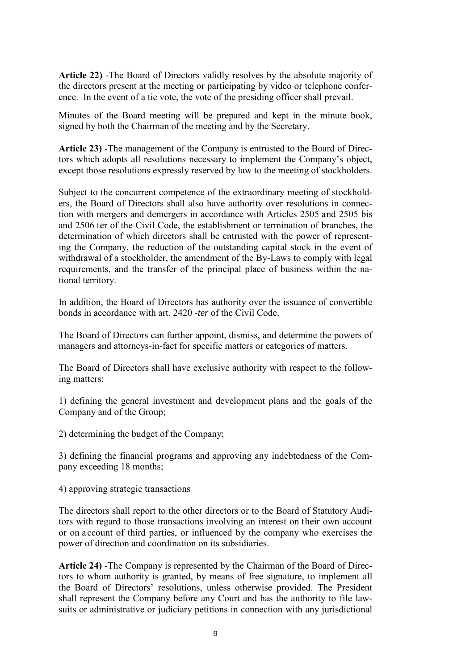**Article 22)** -The Board of Directors validly resolves by the absolute majority of the directors present at the meeting or participating by video or telephone conference. In the event of a tie vote, the vote of the presiding officer shall prevail.

Minutes of the Board meeting will be prepared and kept in the minute book, signed by both the Chairman of the meeting and by the Secretary.

**Article 23)** -The management of the Company is entrusted to the Board of Directors which adopts all resolutions necessary to implement the Company's object, except those resolutions expressly reserved by law to the meeting of stockholders.

Subject to the concurrent competence of the extraordinary meeting of stockholders, the Board of Directors shall also have authority over resolutions in connection with mergers and demergers in accordance with Articles 2505 and 2505 bis and 2506 ter of the Civil Code, the establishment or termination of branches, the determination of which directors shall be entrusted with the power of representing the Company, the reduction of the outstanding capital stock in the event of withdrawal of a stockholder, the amendment of the By-Laws to comply with legal requirements, and the transfer of the principal place of business within the national territory.

In addition, the Board of Directors has authority over the issuance of convertible bonds in accordance with art. 2420 -*ter* of the Civil Code.

The Board of Directors can further appoint, dismiss, and determine the powers of managers and attorneys-in-fact for specific matters or categories of matters.

The Board of Directors shall have exclusive authority with respect to the following matters:

1) defining the general investment and development plans and the goals of the Company and of the Group;

2) determining the budget of the Company;

3) defining the financial programs and approving any indebtedness of the Company exceeding 18 months;

4) approving strategic transactions

The directors shall report to the other directors or to the Board of Statutory Auditors with regard to those transactions involving an interest on their own account or on account of third parties, or influenced by the company who exercises the power of direction and coordination on its subsidiaries.

**Article 24)** -The Company is represented by the Chairman of the Board of Directors to whom authority is granted, by means of free signature, to implement all the Board of Directors' resolutions, unless otherwise provided. The President shall represent the Company before any Court and has the authority to file lawsuits or administrative or judiciary petitions in connection with any jurisdictional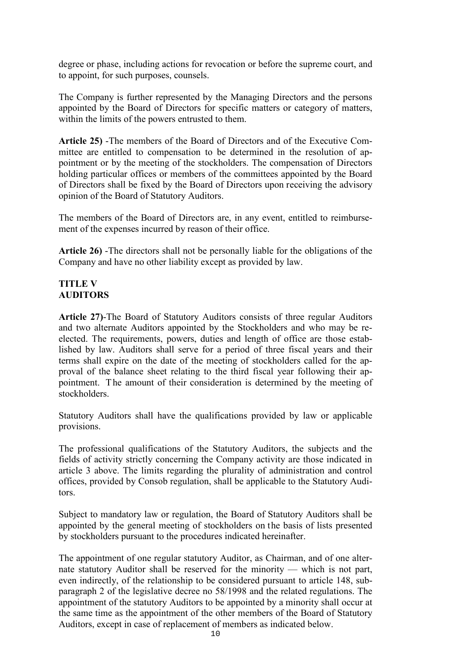degree or phase, including actions for revocation or before the supreme court, and to appoint, for such purposes, counsels.

The Company is further represented by the Managing Directors and the persons appointed by the Board of Directors for specific matters or category of matters, within the limits of the powers entrusted to them.

**Article 25)** -The members of the Board of Directors and of the Executive Committee are entitled to compensation to be determined in the resolution of appointment or by the meeting of the stockholders. The compensation of Directors holding particular offices or members of the committees appointed by the Board of Directors shall be fixed by the Board of Directors upon receiving the advisory opinion of the Board of Statutory Auditors.

The members of the Board of Directors are, in any event, entitled to reimbursement of the expenses incurred by reason of their office.

**Article 26)** -The directors shall not be personally liable for the obligations of the Company and have no other liability except as provided by law.

#### **TITLE V AUDITORS**

**Article 27)**-The Board of Statutory Auditors consists of three regular Auditors and two alternate Auditors appointed by the Stockholders and who may be reelected. The requirements, powers, duties and length of office are those established by law. Auditors shall serve for a period of three fiscal years and their terms shall expire on the date of the meeting of stockholders called for the approval of the balance sheet relating to the third fiscal year following their appointment. The amount of their consideration is determined by the meeting of stockholders.

Statutory Auditors shall have the qualifications provided by law or applicable provisions.

The professional qualifications of the Statutory Auditors, the subjects and the fields of activity strictly concerning the Company activity are those indicated in article 3 above. The limits regarding the plurality of administration and control offices, provided by Consob regulation, shall be applicable to the Statutory Auditors.

Subject to mandatory law or regulation, the Board of Statutory Auditors shall be appointed by the general meeting of stockholders on the basis of lists presented by stockholders pursuant to the procedures indicated hereinafter.

The appointment of one regular statutory Auditor, as Chairman, and of one alternate statutory Auditor shall be reserved for the minority — which is not part, even indirectly, of the relationship to be considered pursuant to article 148, subparagraph 2 of the legislative decree no 58/1998 and the related regulations. The appointment of the statutory Auditors to be appointed by a minority shall occur at the same time as the appointment of the other members of the Board of Statutory Auditors, except in case of replacement of members as indicated below.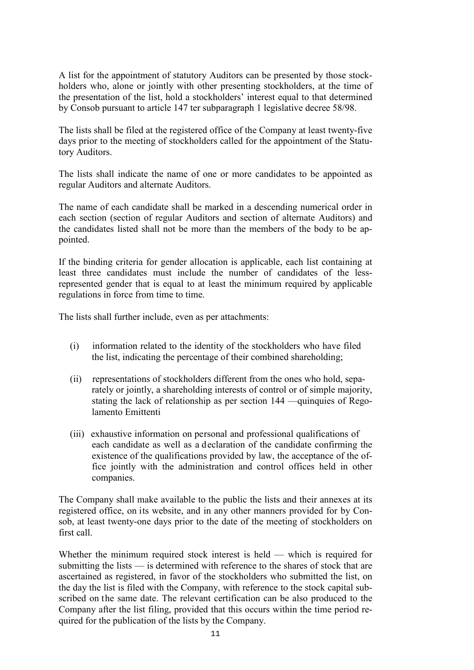A list for the appointment of statutory Auditors can be presented by those stockholders who, alone or jointly with other presenting stockholders, at the time of the presentation of the list, hold a stockholders' interest equal to that determined by Consob pursuant to article 147 ter subparagraph 1 legislative decree 58/98.

The lists shall be filed at the registered office of the Company at least twenty-five days prior to the meeting of stockholders called for the appointment of the Statutory Auditors.

The lists shall indicate the name of one or more candidates to be appointed as regular Auditors and alternate Auditors.

The name of each candidate shall be marked in a descending numerical order in each section (section of regular Auditors and section of alternate Auditors) and the candidates listed shall not be more than the members of the body to be appointed.

If the binding criteria for gender allocation is applicable, each list containing at least three candidates must include the number of candidates of the lessrepresented gender that is equal to at least the minimum required by applicable regulations in force from time to time.

The lists shall further include, even as per attachments:

- (i) information related to the identity of the stockholders who have filed the list, indicating the percentage of their combined shareholding;
- (ii) representations of stockholders different from the ones who hold, separately or jointly, a shareholding interests of control or of simple majority, stating the lack of relationship as per section 144 —quinquies of Regolamento Emittenti
- (iii) exhaustive information on personal and professional qualifications of each candidate as well as a declaration of the candidate confirming the existence of the qualifications provided by law, the acceptance of the office jointly with the administration and control offices held in other companies.

The Company shall make available to the public the lists and their annexes at its registered office, on its website, and in any other manners provided for by Consob, at least twenty-one days prior to the date of the meeting of stockholders on first call.

Whether the minimum required stock interest is held — which is required for submitting the lists — is determined with reference to the shares of stock that are ascertained as registered, in favor of the stockholders who submitted the list, on the day the list is filed with the Company, with reference to the stock capital subscribed on the same date. The relevant certification can be also produced to the Company after the list filing, provided that this occurs within the time period required for the publication of the lists by the Company.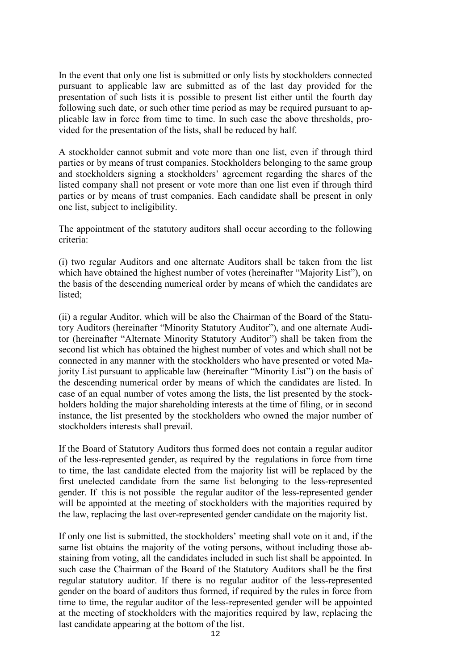In the event that only one list is submitted or only lists by stockholders connected pursuant to applicable law are submitted as of the last day provided for the presentation of such lists it is possible to present list either until the fourth day following such date, or such other time period as may be required pursuant to applicable law in force from time to time. In such case the above thresholds, provided for the presentation of the lists, shall be reduced by half.

A stockholder cannot submit and vote more than one list, even if through third parties or by means of trust companies. Stockholders belonging to the same group and stockholders signing a stockholders' agreement regarding the shares of the listed company shall not present or vote more than one list even if through third parties or by means of trust companies. Each candidate shall be present in only one list, subject to ineligibility.

The appointment of the statutory auditors shall occur according to the following criteria:

(i) two regular Auditors and one alternate Auditors shall be taken from the list which have obtained the highest number of votes (hereinafter "Majority List"), on the basis of the descending numerical order by means of which the candidates are listed;

(ii) a regular Auditor, which will be also the Chairman of the Board of the Statutory Auditors (hereinafter "Minority Statutory Auditor"), and one alternate Auditor (hereinafter "Alternate Minority Statutory Auditor") shall be taken from the second list which has obtained the highest number of votes and which shall not be connected in any manner with the stockholders who have presented or voted Majority List pursuant to applicable law (hereinafter "Minority List") on the basis of the descending numerical order by means of which the candidates are listed. In case of an equal number of votes among the lists, the list presented by the stockholders holding the major shareholding interests at the time of filing, or in second instance, the list presented by the stockholders who owned the major number of stockholders interests shall prevail.

If the Board of Statutory Auditors thus formed does not contain a regular auditor of the less-represented gender, as required by the regulations in force from time to time, the last candidate elected from the majority list will be replaced by the first unelected candidate from the same list belonging to the less-represented gender. If this is not possible the regular auditor of the less-represented gender will be appointed at the meeting of stockholders with the majorities required by the law, replacing the last over-represented gender candidate on the majority list.

If only one list is submitted, the stockholders' meeting shall vote on it and, if the same list obtains the majority of the voting persons, without including those abstaining from voting, all the candidates included in such list shall be appointed. In such case the Chairman of the Board of the Statutory Auditors shall be the first regular statutory auditor. If there is no regular auditor of the less-represented gender on the board of auditors thus formed, if required by the rules in force from time to time, the regular auditor of the less-represented gender will be appointed at the meeting of stockholders with the majorities required by law, replacing the last candidate appearing at the bottom of the list.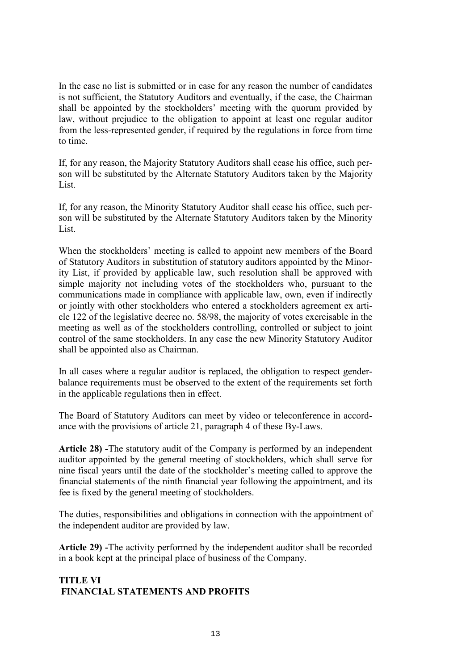In the case no list is submitted or in case for any reason the number of candidates is not sufficient, the Statutory Auditors and eventually, if the case, the Chairman shall be appointed by the stockholders' meeting with the quorum provided by law, without prejudice to the obligation to appoint at least one regular auditor from the less-represented gender, if required by the regulations in force from time to time.

If, for any reason, the Majority Statutory Auditors shall cease his office, such person will be substituted by the Alternate Statutory Auditors taken by the Majority List.

If, for any reason, the Minority Statutory Auditor shall cease his office, such person will be substituted by the Alternate Statutory Auditors taken by the Minority List.

When the stockholders' meeting is called to appoint new members of the Board of Statutory Auditors in substitution of statutory auditors appointed by the Minority List, if provided by applicable law, such resolution shall be approved with simple majority not including votes of the stockholders who, pursuant to the communications made in compliance with applicable law, own, even if indirectly or jointly with other stockholders who entered a stockholders agreement ex article 122 of the legislative decree no. 58/98, the majority of votes exercisable in the meeting as well as of the stockholders controlling, controlled or subject to joint control of the same stockholders. In any case the new Minority Statutory Auditor shall be appointed also as Chairman.

In all cases where a regular auditor is replaced, the obligation to respect genderbalance requirements must be observed to the extent of the requirements set forth in the applicable regulations then in effect.

The Board of Statutory Auditors can meet by video or teleconference in accordance with the provisions of article 21, paragraph 4 of these By-Laws.

**Article 28) -**The statutory audit of the Company is performed by an independent auditor appointed by the general meeting of stockholders, which shall serve for nine fiscal years until the date of the stockholder's meeting called to approve the financial statements of the ninth financial year following the appointment, and its fee is fixed by the general meeting of stockholders.

The duties, responsibilities and obligations in connection with the appointment of the independent auditor are provided by law.

**Article 29) -**The activity performed by the independent auditor shall be recorded in a book kept at the principal place of business of the Company.

### **TITLE VI FINANCIAL STATEMENTS AND PROFITS**